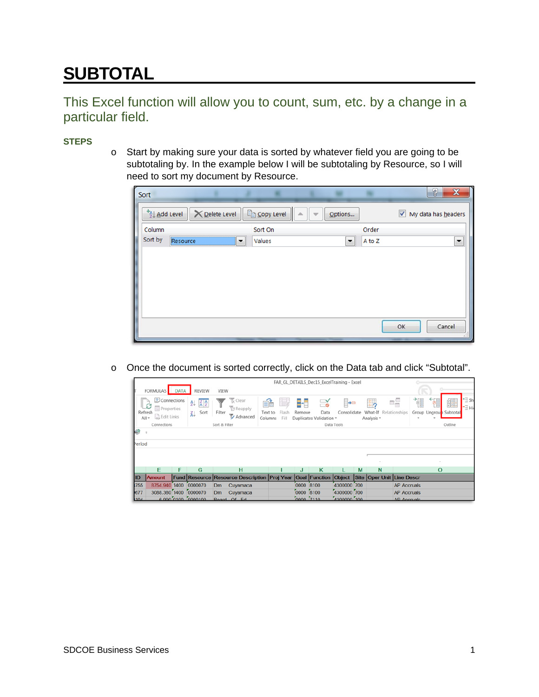## **SUBTOTAL**

## This Excel function will allow you to count, sum, etc. by a change in a particular field.

## **STEPS**

o Start by making sure your data is sorted by whatever field you are going to be subtotaling by. In the example below I will be subtotaling by Resource, so I will need to sort my document by Resource.

|   | Sort                        |          |                       |                           |                          |                          |        |    | စွ<br>X                  |
|---|-----------------------------|----------|-----------------------|---------------------------|--------------------------|--------------------------|--------|----|--------------------------|
|   | $+2$ $\downarrow$ Add Level |          | <b>╳</b> Delete Level | $E_{\text{m}}$ Copy Level | $\overline{\phantom{a}}$ | Options                  |        |    | My data has headers      |
|   | Column                      |          |                       | Sort On                   |                          |                          | Order  |    |                          |
| ı | Sort by                     | Resource | ▼                     | Values                    |                          | $\overline{\phantom{a}}$ | A to Z |    | $\overline{\phantom{a}}$ |
|   |                             |          |                       |                           |                          |                          |        |    |                          |
|   |                             |          |                       |                           |                          |                          |        |    |                          |
|   |                             |          |                       |                           |                          |                          |        |    |                          |
|   |                             |          |                       |                           |                          |                          |        |    |                          |
|   |                             |          |                       |                           |                          |                          |        |    |                          |
|   |                             |          |                       |                           |                          |                          |        |    |                          |
|   |                             |          |                       |                           |                          |                          |        | OK | Cancel                   |
|   |                             |          |                       |                           |                          |                          |        |    |                          |

o Once the document is sorted correctly, click on the Data tab and click "Subtotal".

|            | FAR_GL_DETAILS_Dec15_ExcelTraining - Excel                                |   |                                                                             |               |                                                                   |                          |                     |               |                                              |                   |   |                                        |                           |          |                        |                             |
|------------|---------------------------------------------------------------------------|---|-----------------------------------------------------------------------------|---------------|-------------------------------------------------------------------|--------------------------|---------------------|---------------|----------------------------------------------|-------------------|---|----------------------------------------|---------------------------|----------|------------------------|-----------------------------|
|            | FORMULAS DATA                                                             |   | <b>REVIEW</b>                                                               | VIEW          |                                                                   |                          |                     |               |                                              |                   |   |                                        |                           | $\sim$   |                        |                             |
|            | Connections<br>S<br><b>E</b> Properties<br>Refresh<br>Bdit Links<br>All + |   | $\left  \frac{Z}{A} \right $ $\left  \frac{A}{Z} \right $<br>乣<br>Sort<br>弘 | Filter        | Clear<br><b>B</b> Reapply<br>Advanced                             | éè<br>Text to<br>Columns | ÷.<br>Flash<br>Fill | Remove        | $\preceq$<br>Data<br>Duplicates Validation - | ⊧•<br>Consolidate |   | $\frac{1}{2}$<br>What-If<br>Analysis - | 禪<br>eg<br>Relationships  | 얣        | Group Ungroup Subtotal | <sup>+</sup> ∃ Sh<br>™E His |
|            | Connections                                                               |   |                                                                             | Sort & Filter |                                                                   |                          |                     |               |                                              | Data Tools        |   |                                        |                           |          | Outline                |                             |
| h-S        | $\overline{ }$                                                            |   |                                                                             |               |                                                                   |                          |                     |               |                                              |                   |   |                                        |                           |          |                        |                             |
| Period     |                                                                           |   |                                                                             |               |                                                                   |                          |                     |               |                                              |                   |   |                                        |                           |          |                        |                             |
|            |                                                                           |   |                                                                             |               |                                                                   |                          |                     |               |                                              |                   |   |                                        |                           |          |                        |                             |
|            |                                                                           |   |                                                                             |               |                                                                   |                          |                     |               |                                              |                   |   |                                        |                           |          |                        |                             |
|            | E                                                                         | F | G                                                                           |               | н                                                                 |                          |                     | J             | к                                            |                   | M | N                                      |                           | $\Omega$ |                        |                             |
| <b>IID</b> | <b>Amount</b>                                                             |   |                                                                             |               | <b>Fund Resource Resource Description Proj Year Goal Function</b> |                          |                     |               |                                              | <b>Object</b>     |   |                                        | Site Oper Unit Line Descr |          |                        |                             |
| 755        | 8754.940 1400                                                             |   | 0000070                                                                     | <b>Dm</b>     | Cuyamaca                                                          |                          |                     | 0000 8100     |                                              | 4300000 700       |   |                                        | <b>AP Accruals</b>        |          |                        |                             |
| 677        | 3088.380 1400 0000070                                                     |   |                                                                             | Dm            | Cuyamaca                                                          |                          |                     | 0000 8100     |                                              | 4300000 700       |   |                                        | <b>AP Accruals</b>        |          |                        |                             |
| 104        |                                                                           |   | 6.000.0100 0000100                                                          |               | Board Of Ed.                                                      |                          |                     | $0000$ $7110$ |                                              | 420000001100      |   |                                        | AD Approvals              |          |                        |                             |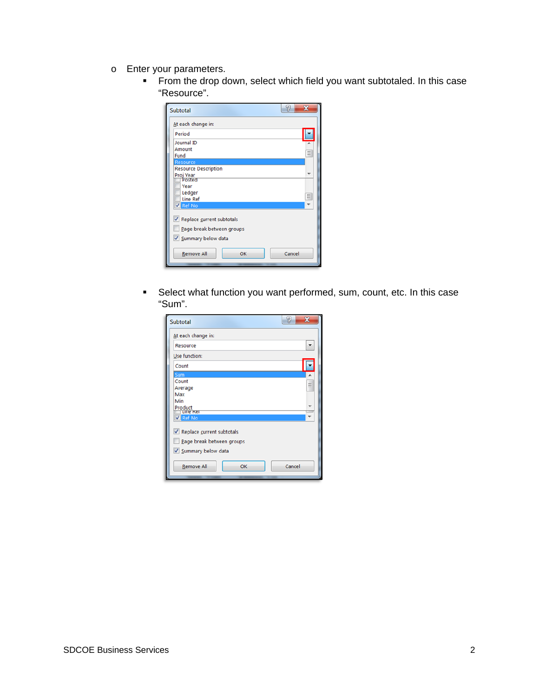- o Enter your parameters.
	- From the drop down, select which field you want subtotaled. In this case "Resource".

| <b>Subtotal</b>                                                                  | 잍<br>х |
|----------------------------------------------------------------------------------|--------|
| At each change in:                                                               |        |
| Period                                                                           |        |
| Journal ID                                                                       |        |
| Amount                                                                           | Ξ      |
| Fund                                                                             |        |
| <b>Resource</b><br><b>Resource Description</b>                                   |        |
| Proj Year                                                                        | ٠      |
| Posted                                                                           |        |
| Year                                                                             |        |
| Ledger<br><b>Line Ref</b>                                                        | Ξ      |
| Ref No                                                                           |        |
| √ Replace current subtotals<br>Page break between groups<br>V Summary below data |        |
| <b>Remove All</b><br>OK                                                          | Cancel |

 Select what function you want performed, sum, count, etc. In this case "Sum".

| Subtotal                                               | 잍<br>x |
|--------------------------------------------------------|--------|
| At each change in:                                     |        |
| Resource                                               |        |
| Use function:                                          |        |
| Count                                                  |        |
| Sum                                                    |        |
| Count                                                  | Ξ      |
| Average                                                |        |
| Max                                                    |        |
| Min                                                    |        |
| Product<br>Line Ker                                    |        |
| V Ref No                                               |        |
| Replace current subtotals<br>Page break between groups |        |
|                                                        |        |
| V Summary below data                                   |        |
| <b>Remove All</b><br>OK                                | Cancel |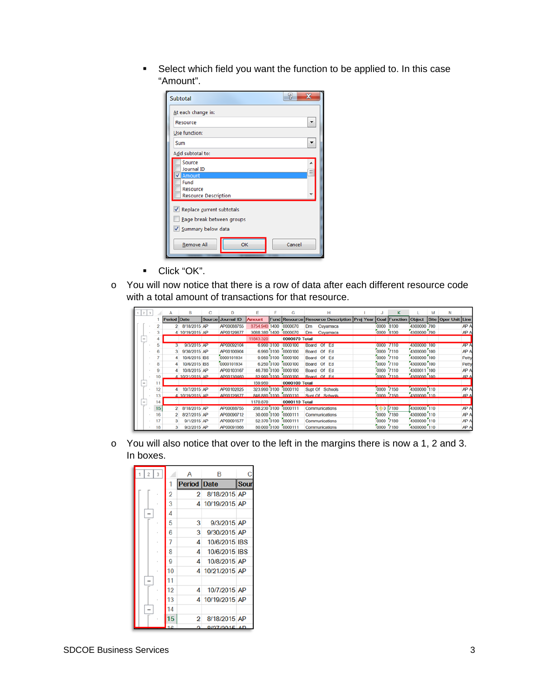Select which field you want the function to be applied to. In this case "Amount".

| Subtotal                                | 잍      |
|-----------------------------------------|--------|
| At each change in:                      |        |
| Resource                                |        |
| Use function:                           |        |
| Sum                                     |        |
| Add subtotal to:                        |        |
| Source<br>Journal ID                    | Ξ      |
| <b>V</b> Amount<br>Fund                 |        |
| Resource<br><b>Resource Description</b> |        |
| Replace current subtotals               |        |
| Page break between groups               |        |
| V Summary below data                    |        |
| OK<br><b>Remove All</b>                 | Cancel |

- Click "OK".
- o You will now notice that there is a row of data after each different resource code with a total amount of transactions for that resource.

| $2 \mid 3$               |    |              | B               | c             | n          | Ε             | я    | G                    | н                                                   |           | к                    |             | м   | N                   |       |
|--------------------------|----|--------------|-----------------|---------------|------------|---------------|------|----------------------|-----------------------------------------------------|-----------|----------------------|-------------|-----|---------------------|-------|
|                          |    | Period Date  |                 | <b>Source</b> | Journal ID | <b>Amount</b> |      |                      | <b>Fund Resource Resource Description Proj Year</b> |           | <b>Goal Function</b> | Object      |     | Site Oper Unit Line |       |
|                          |    | $\mathbf{p}$ | 8/18/2015 AP    |               | AP00088755 | 8754.940      | 1400 | 0000070              | Cuyamaca<br>Dm                                      | 0000      | 8100                 | 4300000     | 700 |                     | AP A  |
|                          |    |              | 4 10/19/2015 AP |               | AP00129677 | 3088,380 1400 |      | 0000070              | Dm<br>Cuyamaca                                      | 0000 8100 |                      | 4300000 700 |     |                     | AP A  |
| $\overline{\phantom{a}}$ |    |              |                 |               |            | 11843.320     |      | 0000070 Total        |                                                     |           |                      |             |     |                     |       |
|                          | 5  |              | 9/3/2015 AP     |               | AP00092104 | 6.990 0100    |      | 0000100              | Of<br>Ed<br>Board                                   | 0000      | 7110                 | 4300000     | 100 |                     | AP A  |
|                          |    |              | 9/30/2015 AP    |               | AP00100904 | 6.990 0100    |      | 0000100              | Ed<br>Of<br>Board                                   | 0000      | 7110                 | 4300000 100 |     |                     | AP A  |
|                          |    |              | 10/6/2015 IBS   |               | 0000101934 | 9.950 0100    |      | 0000100              | Ed<br>Of<br>Board                                   | 0000      | 7110                 | 4300000 100 |     |                     | Petty |
|                          | 8  |              | 10/6/2015 IBS   |               | 0000101934 | 6.250 0100    |      | 0000100              | Ed<br>Of<br>Board                                   | 0000      | 7110                 | 4300000 100 |     |                     | Petty |
|                          | 9  |              | 10/8/2015 AP    |               | AP00103167 | 46.780 0100   |      | 0000100              | Of<br>Ed<br>Board                                   | 0000      | 7110                 | 4300011 100 |     |                     | AP A  |
|                          | 10 |              | 4 10/21/2015 AP |               | AP00130460 |               |      | 82,990,0100 0000100  | Board Of Ed                                         | 0000 7110 |                      | 4300000 100 |     |                     | AP A  |
| $\overline{\phantom{a}}$ | 11 |              |                 |               |            | 159,950       |      | 0000100 Total        |                                                     |           |                      |             |     |                     |       |
|                          | 12 |              | 10/7/2015 AP    |               | AP00102825 | 323,990 0100  |      | 0000110              | Supt Of Schools                                     | 0000      | 7150                 | 4300000 110 |     |                     | AP A  |
|                          | 13 |              | 4 10/19/2015 AP |               | AP00129677 |               |      | 846.880 0100 0000110 | Sunt Of Schools                                     | 0000 7150 |                      | 4300000 110 |     |                     | AP A  |
| $\overline{\phantom{a}}$ | 14 |              |                 |               |            | 1170,870      |      | 0000110 Total        |                                                     |           |                      |             |     |                     |       |
|                          | 15 |              | 8/18/2015 AP    |               | AP00088755 | 288.230 0100  |      | 0000111              | Communications                                      | (OD       | 7180                 | 4300000 110 |     |                     | AP A  |
|                          | 16 |              | 8/27/2015 AP    |               | AP00090712 | 30,000 0100   |      | 0000111              | Communications                                      | 0000      | 7180                 | 4300000 110 |     |                     | AP A  |
|                          | 17 |              | 9/1/2015 AP     |               | AP00091577 | 52.370 0100   |      | 0000111              | Communications                                      | 0000      | 7180                 | 4300000 110 |     |                     | AP A  |
|                          | 18 |              | 9/2/2015 AP     |               | AP00091866 | 80,000 0100   |      | 0000111              | Communications                                      | 0000      | 7180                 | 4300000 110 |     |                     | AP A  |

o You will also notice that over to the left in the margins there is now a 1, 2 and 3. In boxes.

|  |   |    | А           | B             |             |
|--|---|----|-------------|---------------|-------------|
|  |   | 1  | Period Date |               | <b>Sour</b> |
|  |   | 2  | 2           | 8/18/2015 AP  |             |
|  |   | 3  | 4           | 10/19/2015 AP |             |
|  |   | 4  |             |               |             |
|  |   | 5  | 3           | 9/3/2015 AP   |             |
|  |   | 6  | 3           | 9/30/2015 AP  |             |
|  |   | 7  | 4           | 10/6/2015 IBS |             |
|  | × | 8  | 4           | 10/6/2015 IBS |             |
|  |   | g  | 4           | 10/8/2015 AP  |             |
|  |   | 10 | 4           | 10/21/2015 AP |             |
|  |   | 11 |             |               |             |
|  |   | 12 | 4           | 10/7/2015 AP  |             |
|  |   | 13 | 4           | 10/19/2015 AP |             |
|  |   | 14 |             |               |             |
|  |   | 15 | 2           | 8/18/2015 AP  |             |
|  |   |    | o           | 0/07/0015     | ΔD          |